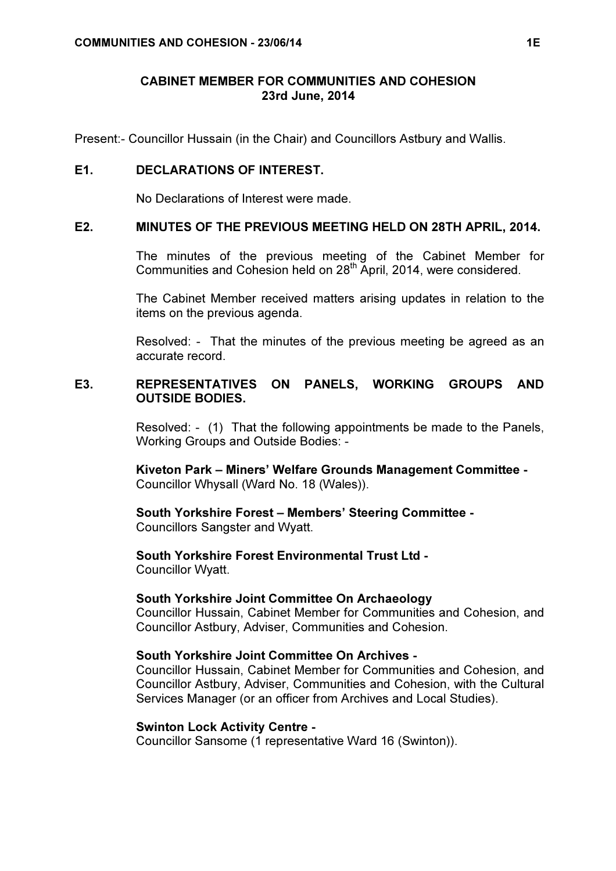# CABINET MEMBER FOR COMMUNITIES AND COHESION 23rd June, 2014

Present:- Councillor Hussain (in the Chair) and Councillors Astbury and Wallis.

## E1. DECLARATIONS OF INTEREST.

No Declarations of Interest were made.

#### E2. MINUTES OF THE PREVIOUS MEETING HELD ON 28TH APRIL, 2014.

 The minutes of the previous meeting of the Cabinet Member for Communities and Cohesion held on 28<sup>th</sup> April, 2014, were considered.

The Cabinet Member received matters arising updates in relation to the items on the previous agenda.

Resolved: - That the minutes of the previous meeting be agreed as an accurate record.

# E3. REPRESENTATIVES ON PANELS, WORKING GROUPS AND OUTSIDE BODIES.

 Resolved: - (1) That the following appointments be made to the Panels, Working Groups and Outside Bodies: -

Kiveton Park – Miners' Welfare Grounds Management Committee - Councillor Whysall (Ward No. 18 (Wales)).

#### South Yorkshire Forest – Members' Steering Committee - Councillors Sangster and Wyatt.

South Yorkshire Forest Environmental Trust Ltd - Councillor Wyatt.

#### South Yorkshire Joint Committee On Archaeology

Councillor Hussain, Cabinet Member for Communities and Cohesion, and Councillor Astbury, Adviser, Communities and Cohesion.

# South Yorkshire Joint Committee On Archives -

Councillor Hussain, Cabinet Member for Communities and Cohesion, and Councillor Astbury, Adviser, Communities and Cohesion, with the Cultural Services Manager (or an officer from Archives and Local Studies).

#### Swinton Lock Activity Centre -

Councillor Sansome (1 representative Ward 16 (Swinton)).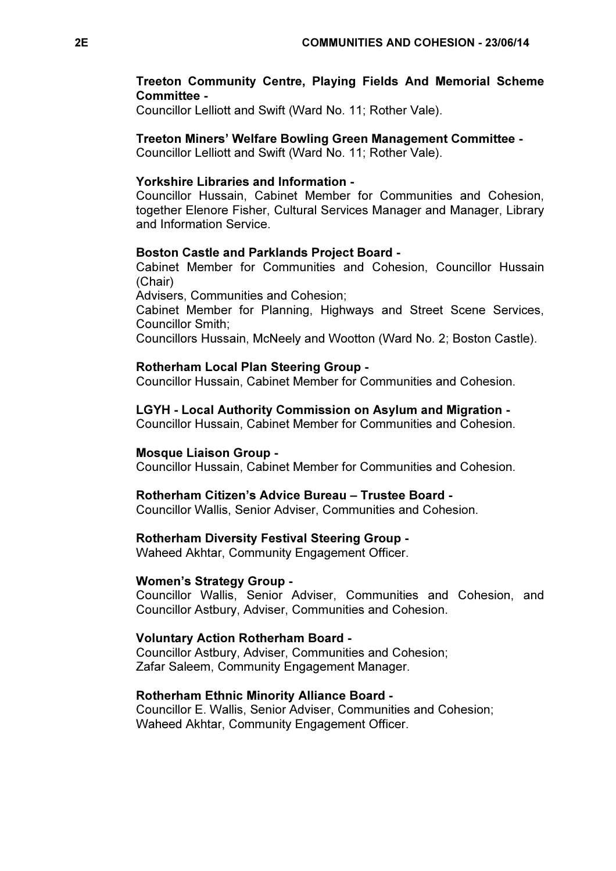# Treeton Community Centre, Playing Fields And Memorial Scheme Committee -

Councillor Lelliott and Swift (Ward No. 11; Rother Vale).

### Treeton Miners' Welfare Bowling Green Management Committee -

Councillor Lelliott and Swift (Ward No. 11; Rother Vale).

## Yorkshire Libraries and Information -

Councillor Hussain, Cabinet Member for Communities and Cohesion, together Elenore Fisher, Cultural Services Manager and Manager, Library and Information Service.

#### Boston Castle and Parklands Project Board -

Cabinet Member for Communities and Cohesion, Councillor Hussain (Chair)

Advisers, Communities and Cohesion;

Cabinet Member for Planning, Highways and Street Scene Services, Councillor Smith;

Councillors Hussain, McNeely and Wootton (Ward No. 2; Boston Castle).

# Rotherham Local Plan Steering Group -

Councillor Hussain, Cabinet Member for Communities and Cohesion.

LGYH - Local Authority Commission on Asylum and Migration -

Councillor Hussain, Cabinet Member for Communities and Cohesion.

#### Mosque Liaison Group -

Councillor Hussain, Cabinet Member for Communities and Cohesion.

# Rotherham Citizen's Advice Bureau – Trustee Board -

Councillor Wallis, Senior Adviser, Communities and Cohesion.

#### Rotherham Diversity Festival Steering Group -

Waheed Akhtar, Community Engagement Officer.

#### Women's Strategy Group -

Councillor Wallis, Senior Adviser, Communities and Cohesion, and Councillor Astbury, Adviser, Communities and Cohesion.

## Voluntary Action Rotherham Board -

Councillor Astbury, Adviser, Communities and Cohesion; Zafar Saleem, Community Engagement Manager.

# Rotherham Ethnic Minority Alliance Board -

Councillor E. Wallis, Senior Adviser, Communities and Cohesion; Waheed Akhtar, Community Engagement Officer.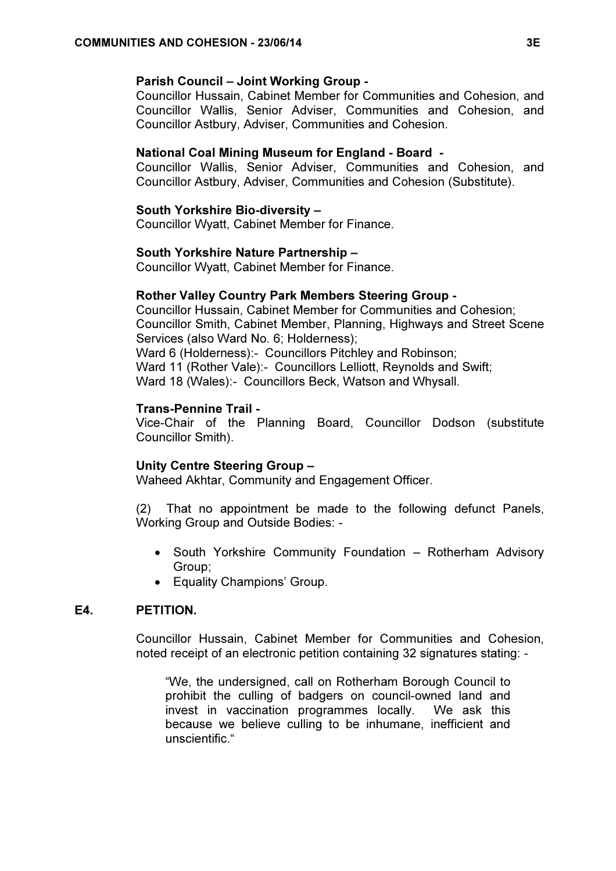### Parish Council – Joint Working Group -

Councillor Hussain, Cabinet Member for Communities and Cohesion, and Councillor Wallis, Senior Adviser, Communities and Cohesion, and Councillor Astbury, Adviser, Communities and Cohesion.

## National Coal Mining Museum for England - Board -

Councillor Wallis, Senior Adviser, Communities and Cohesion, and Councillor Astbury, Adviser, Communities and Cohesion (Substitute).

### South Yorkshire Bio-diversity –

Councillor Wyatt, Cabinet Member for Finance.

#### South Yorkshire Nature Partnership –

Councillor Wyatt, Cabinet Member for Finance.

#### Rother Valley Country Park Members Steering Group -

Councillor Hussain, Cabinet Member for Communities and Cohesion; Councillor Smith, Cabinet Member, Planning, Highways and Street Scene Services (also Ward No. 6; Holderness); Ward 6 (Holderness):- Councillors Pitchley and Robinson;

Ward 11 (Rother Vale):- Councillors Lelliott, Reynolds and Swift;

Ward 18 (Wales):- Councillors Beck, Watson and Whysall.

## Trans-Pennine Trail -

Vice-Chair of the Planning Board, Councillor Dodson (substitute Councillor Smith).

## Unity Centre Steering Group –

Waheed Akhtar, Community and Engagement Officer.

(2) That no appointment be made to the following defunct Panels, Working Group and Outside Bodies: -

- South Yorkshire Community Foundation Rotherham Advisory Group;
- Equality Champions' Group.

## E4. PETITION.

 Councillor Hussain, Cabinet Member for Communities and Cohesion, noted receipt of an electronic petition containing 32 signatures stating: -

"We, the undersigned, call on Rotherham Borough Council to prohibit the culling of badgers on council-owned land and invest in vaccination programmes locally. We ask this because we believe culling to be inhumane, inefficient and unscientific."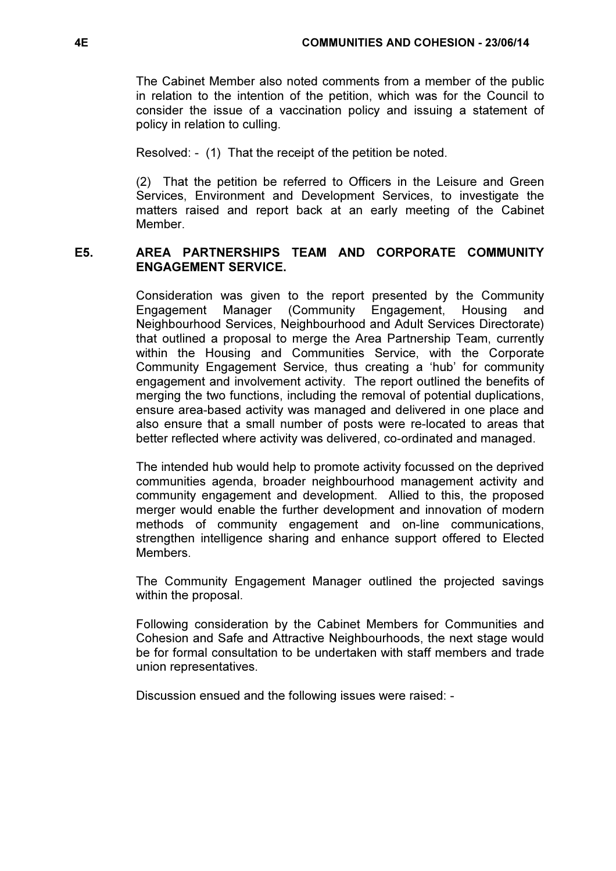The Cabinet Member also noted comments from a member of the public in relation to the intention of the petition, which was for the Council to consider the issue of a vaccination policy and issuing a statement of policy in relation to culling.

Resolved: - (1) That the receipt of the petition be noted.

(2) That the petition be referred to Officers in the Leisure and Green Services, Environment and Development Services, to investigate the matters raised and report back at an early meeting of the Cabinet **Member** 

# E5. AREA PARTNERSHIPS TEAM AND CORPORATE COMMUNITY ENGAGEMENT SERVICE.

 Consideration was given to the report presented by the Community Engagement Manager (Community Engagement, Housing and Neighbourhood Services, Neighbourhood and Adult Services Directorate) that outlined a proposal to merge the Area Partnership Team, currently within the Housing and Communities Service, with the Corporate Community Engagement Service, thus creating a 'hub' for community engagement and involvement activity. The report outlined the benefits of merging the two functions, including the removal of potential duplications, ensure area-based activity was managed and delivered in one place and also ensure that a small number of posts were re-located to areas that better reflected where activity was delivered, co-ordinated and managed.

The intended hub would help to promote activity focussed on the deprived communities agenda, broader neighbourhood management activity and community engagement and development. Allied to this, the proposed merger would enable the further development and innovation of modern methods of community engagement and on-line communications, strengthen intelligence sharing and enhance support offered to Elected Members.

The Community Engagement Manager outlined the projected savings within the proposal.

Following consideration by the Cabinet Members for Communities and Cohesion and Safe and Attractive Neighbourhoods, the next stage would be for formal consultation to be undertaken with staff members and trade union representatives.

Discussion ensued and the following issues were raised: -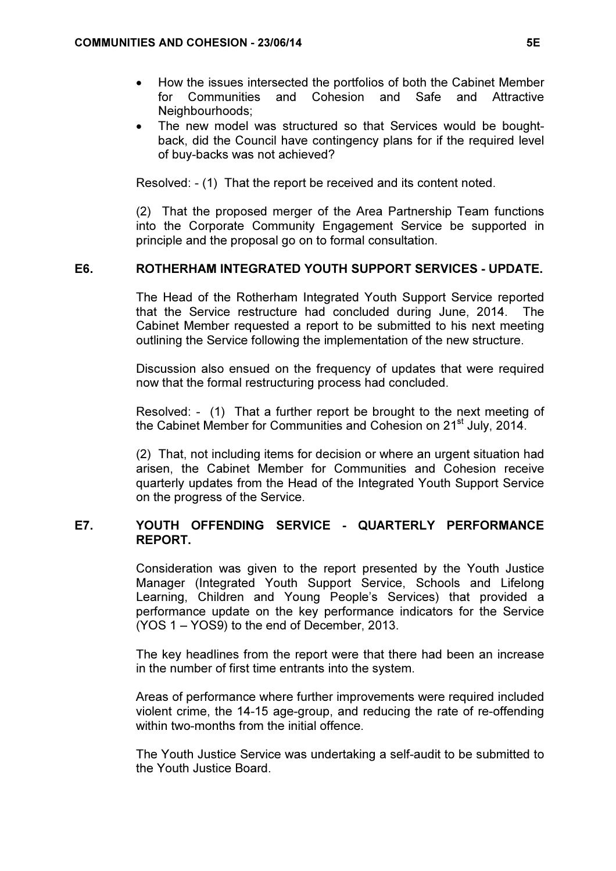- How the issues intersected the portfolios of both the Cabinet Member for Communities and Cohesion and Safe and Attractive Neighbourhoods:
- The new model was structured so that Services would be boughtback, did the Council have contingency plans for if the required level of buy-backs was not achieved?

Resolved: - (1) That the report be received and its content noted.

(2) That the proposed merger of the Area Partnership Team functions into the Corporate Community Engagement Service be supported in principle and the proposal go on to formal consultation.

# E6. ROTHERHAM INTEGRATED YOUTH SUPPORT SERVICES - UPDATE.

 The Head of the Rotherham Integrated Youth Support Service reported that the Service restructure had concluded during June, 2014. The Cabinet Member requested a report to be submitted to his next meeting outlining the Service following the implementation of the new structure.

Discussion also ensued on the frequency of updates that were required now that the formal restructuring process had concluded.

Resolved: - (1) That a further report be brought to the next meeting of the Cabinet Member for Communities and Cohesion on 21<sup>st</sup> July, 2014.

(2) That, not including items for decision or where an urgent situation had arisen, the Cabinet Member for Communities and Cohesion receive quarterly updates from the Head of the Integrated Youth Support Service on the progress of the Service.

# E7. YOUTH OFFENDING SERVICE - QUARTERLY PERFORMANCE REPORT.

 Consideration was given to the report presented by the Youth Justice Manager (Integrated Youth Support Service, Schools and Lifelong Learning, Children and Young People's Services) that provided a performance update on the key performance indicators for the Service (YOS 1 – YOS9) to the end of December, 2013.

The key headlines from the report were that there had been an increase in the number of first time entrants into the system.

Areas of performance where further improvements were required included violent crime, the 14-15 age-group, and reducing the rate of re-offending within two-months from the initial offence.

The Youth Justice Service was undertaking a self-audit to be submitted to the Youth Justice Board.